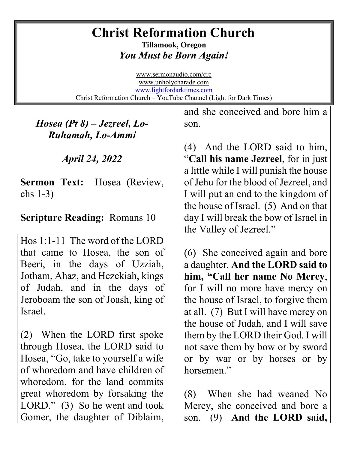## **Christ Reformation Church**

**Tillamook, Oregon** *You Must be Born Again!*

[www.sermonaudio.com/crc](http://www.sermonaudio.com/crc)  [www.unholycharade.com](http://www.unholycharade.com/)  [www.lightfordarktimes.com](http://www.lightfordarktimes.com/) Christ Reformation Church – YouTube Channel (Light for Dark Times)

*Hosea (Pt 8) – Jezreel, Lo-Ruhamah, Lo-Ammi*

*April 24, 2022*

**Sermon Text:** Hosea (Review, chs 1-3)

## **Scripture Reading:** Romans 10

Hos 1:1-11 The word of the LORD that came to Hosea, the son of Beeri, in the days of Uzziah, Jotham, Ahaz, and Hezekiah, kings of Judah, and in the days of Jeroboam the son of Joash, king of Israel.

(2) When the LORD first spoke through Hosea, the LORD said to Hosea, "Go, take to yourself a wife of whoredom and have children of whoredom, for the land commits great whoredom by forsaking the LORD." (3) So he went and took Gomer, the daughter of Diblaim, and she conceived and bore him a son.

(4) And the LORD said to him, "**Call his name Jezreel**, for in just a little while I will punish the house of Jehu for the blood of Jezreel, and I will put an end to the kingdom of the house of Israel. (5) And on that day I will break the bow of Israel in the Valley of Jezreel."

(6) She conceived again and bore a daughter. **And the LORD said to him, "Call her name No Mercy**, for I will no more have mercy on the house of Israel, to forgive them at all. (7) But I will have mercy on the house of Judah, and I will save them by the LORD their God. I will not save them by bow or by sword or by war or by horses or by horsemen."

(8) When she had weaned No Mercy, she conceived and bore a son. (9) **And the LORD said,**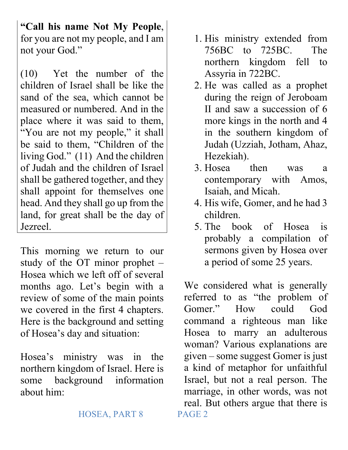**"Call his name Not My People**, for you are not my people, and I am not your God."

(10) Yet the number of the children of Israel shall be like the sand of the sea, which cannot be measured or numbered. And in the place where it was said to them, "You are not my people," it shall be said to them, "Children of the living God." (11) And the children of Judah and the children of Israel shall be gathered together, and they shall appoint for themselves one head. And they shall go up from the land, for great shall be the day of Jezreel.

This morning we return to our study of the OT minor prophet – Hosea which we left off of several months ago. Let's begin with a review of some of the main points we covered in the first 4 chapters. Here is the background and setting of Hosea's day and situation:

Hosea's ministry was in the northern kingdom of Israel. Here is some background information about him:

- 1. His ministry extended from 756BC to 725BC. The northern kingdom fell to Assyria in 722BC.
- 2. He was called as a prophet during the reign of Jeroboam II and saw a succession of 6 more kings in the north and 4 in the southern kingdom of Judah (Uzziah, Jotham, Ahaz, Hezekiah).
- 3. Hosea then was a contemporary with Amos, Isaiah, and Micah.
- 4. His wife, Gomer, and he had 3 children.
- 5. The book of Hosea is probably a compilation of sermons given by Hosea over a period of some 25 years.

We considered what is generally referred to as "the problem of Gomer." How could God command a righteous man like Hosea to marry an adulterous woman? Various explanations are given – some suggest Gomer is just a kind of metaphor for unfaithful Israel, but not a real person. The marriage, in other words, was not real. But others argue that there is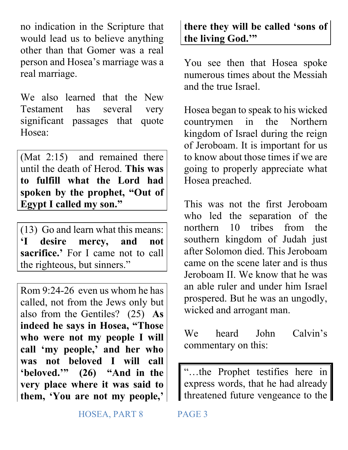no indication in the Scripture that would lead us to believe anything other than that Gomer was a real person and Hosea's marriage was a real marriage.

We also learned that the New Testament has several very significant passages that quote Hosea:

(Mat 2:15) and remained there until the death of Herod. **This was to fulfill what the Lord had spoken by the prophet, "Out of Egypt I called my son."**

(13) Go and learn what this means: **'I desire mercy, and not sacrifice.'** For I came not to call the righteous, but sinners."

Rom 9:24-26 even us whom he has called, not from the Jews only but also from the Gentiles? (25) **As indeed he says in Hosea, "Those who were not my people I will call 'my people,' and her who was not beloved I will call 'beloved.'" (26) "And in the very place where it was said to them, 'You are not my people,'** 

## **there they will be called 'sons of the living God.'"**

You see then that Hosea spoke numerous times about the Messiah and the true Israel.

Hosea began to speak to his wicked countrymen in the Northern kingdom of Israel during the reign of Jeroboam. It is important for us to know about those times if we are going to properly appreciate what Hosea preached.

This was not the first Jeroboam who led the separation of the northern 10 tribes from the southern kingdom of Judah just after Solomon died. This Jeroboam came on the scene later and is thus Jeroboam II. We know that he was an able ruler and under him Israel prospered. But he was an ungodly, wicked and arrogant man.

We heard John Calvin's commentary on this:

"…the Prophet testifies here in express words, that he had already threatened future vengeance to the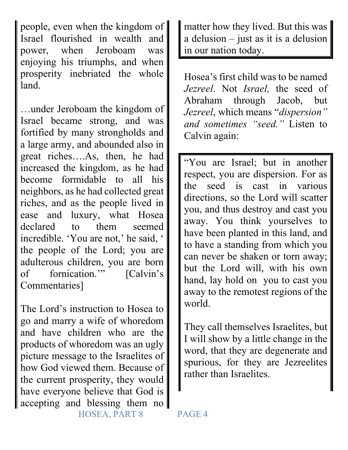people, even when the kingdom of Israel flourished in wealth and power, when Jeroboam was enjoying his triumphs, and when prosperity inebriated the whole land.

…under Jeroboam the kingdom of Israel became strong, and was fortified by many strongholds and a large army, and abounded also in great riches….As, then, he had increased the kingdom, as he had become formidable to all his neighbors, as he had collected great riches, and as the people lived in ease and luxury, what Hosea declared to them seemed incredible. 'You are not,' he said, ' the people of the Lord; you are adulterous children, you are born of fornication.'" [Calvin's Commentaries]

 HOSEA, PART 8 PAGE 4 The Lord's instruction to Hosea to go and marry a wife of whoredom and have children who are the products of whoredom was an ugly picture message to the Israelites of how God viewed them. Because of the current prosperity, they would have everyone believe that God is accepting and blessing them no

matter how they lived. But this was a delusion – just as it is a delusion in our nation today.

Hosea's first child was to be named *Jezreel*. Not *Israel,* the seed of Abraham through Jacob, but *Jezreel*, which means "*dispersion" and sometimes "seed."* Listen to Calvin again:

"You are Israel; but in another respect, you are dispersion. For as the seed is cast in various directions, so the Lord will scatter you, and thus destroy and cast you away. You think yourselves to have been planted in this land, and to have a standing from which you can never be shaken or torn away; but the Lord will, with his own hand, lay hold on you to cast you away to the remotest regions of the world.

They call themselves Israelites, but I will show by a little change in the word, that they are degenerate and spurious, for they are Jezreelites rather than Israelites.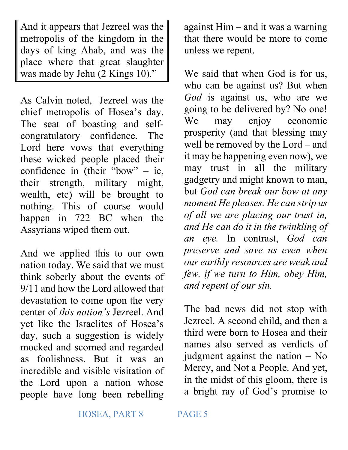And it appears that Jezreel was the metropolis of the kingdom in the days of king Ahab, and was the place where that great slaughter was made by Jehu (2 Kings 10)."

As Calvin noted, Jezreel was the chief metropolis of Hosea's day. The seat of boasting and selfcongratulatory confidence. The Lord here vows that everything these wicked people placed their confidence in (their "bow" – ie, their strength, military might, wealth, etc) will be brought to nothing. This of course would happen in 722 BC when the Assyrians wiped them out.

And we applied this to our own nation today. We said that we must think soberly about the events of 9/11 and how the Lord allowed that devastation to come upon the very center of *this nation's* Jezreel. And yet like the Israelites of Hosea's day, such a suggestion is widely mocked and scorned and regarded as foolishness. But it was an incredible and visible visitation of the Lord upon a nation whose people have long been rebelling

against Him – and it was a warning that there would be more to come unless we repent.

We said that when God is for us, who can be against us? But when *God* is against us, who are we going to be delivered by? No one! We may enjoy economic prosperity (and that blessing may well be removed by the Lord – and it may be happening even now), we may trust in all the military gadgetry and might known to man, but *God can break our bow at any moment He pleases. He can strip us of all we are placing our trust in, and He can do it in the twinkling of an eye.* In contrast, *God can preserve and save us even when our earthly resources are weak and few, if we turn to Him, obey Him, and repent of our sin.* 

The bad news did not stop with Jezreel. A second child, and then a third were born to Hosea and their names also served as verdicts of judgment against the nation – No Mercy, and Not a People. And yet, in the midst of this gloom, there is a bright ray of God's promise to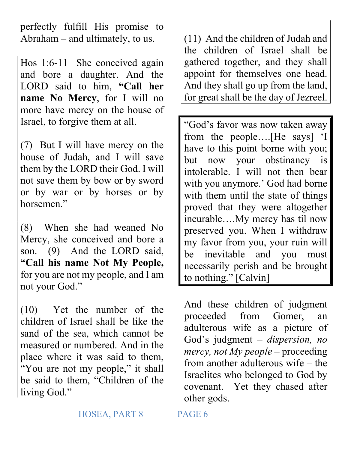perfectly fulfill His promise to Abraham – and ultimately, to us.

Hos 1:6-11 She conceived again and bore a daughter. And the LORD said to him, **"Call her name No Mercy**, for I will no more have mercy on the house of Israel, to forgive them at all.

(7) But I will have mercy on the house of Judah, and I will save them by the LORD their God. I will not save them by bow or by sword or by war or by horses or by horsemen."

(8) When she had weaned No Mercy, she conceived and bore a son. (9) And the LORD said, **"Call his name Not My People,** for you are not my people, and I am not your God."

(10) Yet the number of the children of Israel shall be like the sand of the sea, which cannot be measured or numbered. And in the place where it was said to them, "You are not my people," it shall be said to them, "Children of the living God."

(11) And the children of Judah and the children of Israel shall be gathered together, and they shall appoint for themselves one head. And they shall go up from the land, for great shall be the day of Jezreel.

"God's favor was now taken away from the people….[He says] 'I have to this point borne with you; but now your obstinancy is intolerable. I will not then bear with you anymore.' God had borne with them until the state of things proved that they were altogether incurable….My mercy has til now preserved you. When I withdraw my favor from you, your ruin will be inevitable and you must necessarily perish and be brought to nothing." [Calvin]

And these children of judgment proceeded from Gomer, an adulterous wife as a picture of God's judgment – *dispersion, no mercy, not My people* – proceeding from another adulterous wife – the Israelites who belonged to God by covenant. Yet they chased after other gods.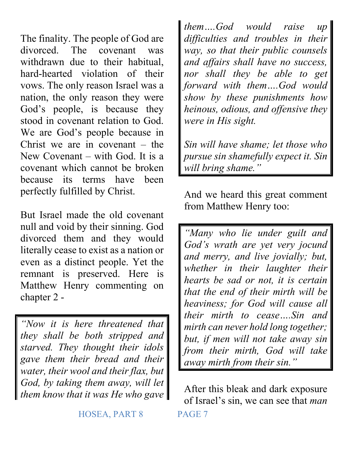The finality. The people of God are divorced. The covenant was withdrawn due to their habitual, hard-hearted violation of their vows. The only reason Israel was a nation, the only reason they were God's people, is because they stood in covenant relation to God. We are God's people because in Christ we are in covenant – the New Covenant – with God. It is a covenant which cannot be broken because its terms have been perfectly fulfilled by Christ.

But Israel made the old covenant null and void by their sinning. God divorced them and they would literally cease to exist as a nation or even as a distinct people. Yet the remnant is preserved. Here is Matthew Henry commenting on chapter 2 -

*"Now it is here threatened that they shall be both stripped and starved. They thought their idols gave them their bread and their water, their wool and their flax, but God, by taking them away, will let them know that it was He who gave* 

*them….God would raise up difficulties and troubles in their way, so that their public counsels and affairs shall have no success, nor shall they be able to get forward with them….God would show by these punishments how heinous, odious, and offensive they were in His sight.* 

*Sin will have shame; let those who pursue sin shamefully expect it. Sin will bring shame."* 

And we heard this great comment from Matthew Henry too:

*"Many who lie under guilt and God's wrath are yet very jocund and merry, and live jovially; but, whether in their laughter their hearts be sad or not, it is certain that the end of their mirth will be heaviness; for God will cause all their mirth to cease….Sin and mirth can never hold long together; but, if men will not take away sin from their mirth, God will take away mirth from their sin."*

After this bleak and dark exposure of Israel's sin, we can see that *man*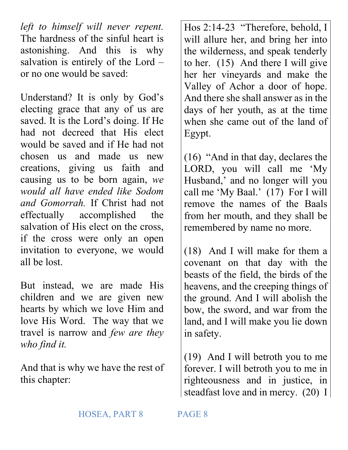*left to himself will never repent.* The hardness of the sinful heart is astonishing. And this is why salvation is entirely of the Lord – or no one would be saved:

Understand? It is only by God's electing grace that any of us are saved. It is the Lord's doing. If He had not decreed that His elect would be saved and if He had not chosen us and made us new creations, giving us faith and causing us to be born again, *we would all have ended like Sodom and Gomorrah.* If Christ had not effectually accomplished the salvation of His elect on the cross, if the cross were only an open invitation to everyone, we would all be lost.

But instead, we are made His children and we are given new hearts by which we love Him and love His Word. The way that we travel is narrow and *few are they who find it.*

And that is why we have the rest of this chapter:

Hos 2:14-23 "Therefore, behold, I will allure her, and bring her into the wilderness, and speak tenderly to her. (15) And there I will give her her vineyards and make the Valley of Achor a door of hope. And there she shall answer as in the days of her youth, as at the time when she came out of the land of Egypt.

(16) "And in that day, declares the LORD, you will call me 'My Husband,' and no longer will you call me 'My Baal.' (17) For I will remove the names of the Baals from her mouth, and they shall be remembered by name no more.

(18) And I will make for them a covenant on that day with the beasts of the field, the birds of the heavens, and the creeping things of the ground. And I will abolish the bow, the sword, and war from the land, and I will make you lie down in safety.

(19) And I will betroth you to me forever. I will betroth you to me in righteousness and in justice, in steadfast love and in mercy. (20) I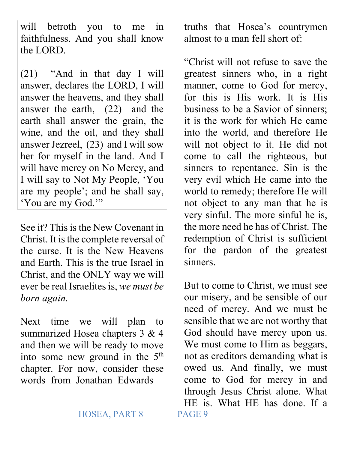will betroth you to me in faithfulness. And you shall know the LORD.

(21) "And in that day I will answer, declares the LORD, I will answer the heavens, and they shall answer the earth, (22) and the earth shall answer the grain, the wine, and the oil, and they shall answer Jezreel, (23) and I will sow her for myself in the land. And I will have mercy on No Mercy, and I will say to Not My People, 'You are my people'; and he shall say, 'You are my God.'"

See it? This is the New Covenant in Christ. It is the complete reversal of the curse. It is the New Heavens and Earth. This is the true Israel in Christ, and the ONLY way we will ever be real Israelites is, *we must be born again.* 

Next time we will plan to summarized Hosea chapters 3 & 4 and then we will be ready to move into some new ground in the 5<sup>th</sup> chapter. For now, consider these words from Jonathan Edwards –

## HOSEA, PART 8 PAGE 9

truths that Hosea's countrymen almost to a man fell short of:

"Christ will not refuse to save the greatest sinners who, in a right manner, come to God for mercy, for this is His work. It is His business to be a Savior of sinners; it is the work for which He came into the world, and therefore He will not object to it. He did not come to call the righteous, but sinners to repentance. Sin is the very evil which He came into the world to remedy; therefore He will not object to any man that he is very sinful. The more sinful he is, the more need he has of Christ. The redemption of Christ is sufficient for the pardon of the greatest sinners.

But to come to Christ, we must see our misery, and be sensible of our need of mercy. And we must be sensible that we are not worthy that God should have mercy upon us. We must come to Him as beggars, not as creditors demanding what is owed us. And finally, we must come to God for mercy in and through Jesus Christ alone. What HE is. What HE has done. If a